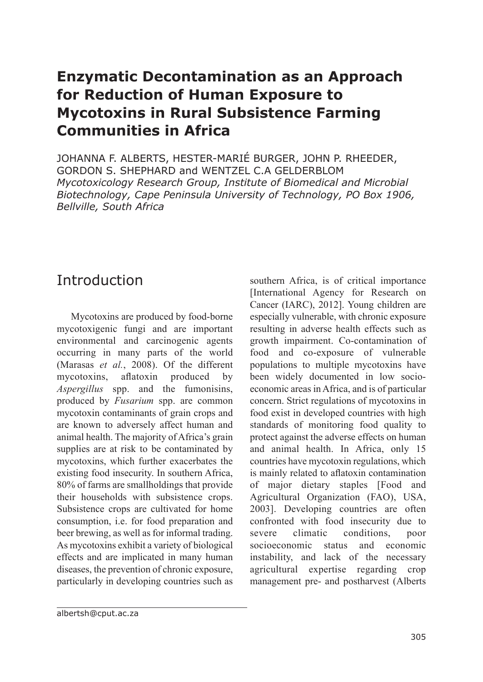#### **Enzymatic Decontamination as an Approach for Reduction of Human Exposure to Mycotoxins in Rural Subsistence Farming Communities in Africa**

JOHANNA F. ALBERTS, HESTER-MARIÉ BURGER, JOHN P. RHEEDER, GORDON S. SHEPHARD and WENTZEL C.A GELDERBLOM *Mycotoxicology Research Group, Institute of Biomedical and Microbial Biotechnology, Cape Peninsula University of Technology, PO Box 1906, Bellville, South Africa*

#### Introduction

Mycotoxins are produced by food-borne mycotoxigenic fungi and are important environmental and carcinogenic agents occurring in many parts of the world (Marasas *et al.*, 2008). Of the different mycotoxins, aflatoxin produced by *Aspergillus* spp. and the fumonisins, produced by *Fusarium* spp. are common mycotoxin contaminants of grain crops and are known to adversely affect human and animal health. The majority of Africa's grain supplies are at risk to be contaminated by mycotoxins, which further exacerbates the existing food insecurity. In southern Africa, 80% of farms are smallholdings that provide their households with subsistence crops. Subsistence crops are cultivated for home consumption, i.e. for food preparation and beer brewing, as well as for informal trading. As mycotoxins exhibit a variety of biological effects and are implicated in many human diseases, the prevention of chronic exposure, particularly in developing countries such as

southern Africa, is of critical importance [International Agency for Research on Cancer (IARC), 2012]. Young children are especially vulnerable, with chronic exposure resulting in adverse health effects such as growth impairment. Co-contamination of food and co-exposure of vulnerable populations to multiple mycotoxins have been widely documented in low socioeconomic areas in Africa, and is of particular concern. Strict regulations of mycotoxins in food exist in developed countries with high standards of monitoring food quality to protect against the adverse effects on human and animal health. In Africa, only 15 countries have mycotoxin regulations, which is mainly related to aflatoxin contamination of major dietary staples [Food and Agricultural Organization (FAO), USA, 2003]. Developing countries are often confronted with food insecurity due to severe climatic conditions, poor socioeconomic status and economic instability, and lack of the necessary agricultural expertise regarding crop management pre- and postharvest (Alberts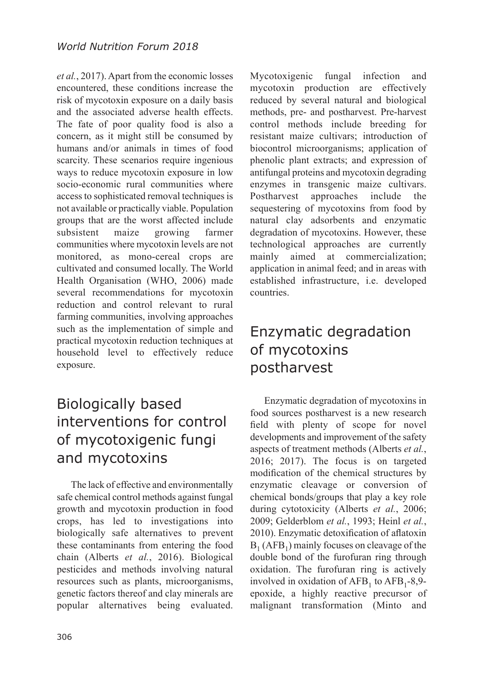*et al.*, 2017). Apart from the economic losses encountered, these conditions increase the risk of mycotoxin exposure on a daily basis and the associated adverse health effects. The fate of poor quality food is also a concern, as it might still be consumed by humans and/or animals in times of food scarcity. These scenarios require ingenious ways to reduce mycotoxin exposure in low socio-economic rural communities where access to sophisticated removal techniques is not available or practically viable. Population groups that are the worst affected include subsistent maize growing farmer communities where mycotoxin levels are not monitored, as mono-cereal crops are cultivated and consumed locally. The World Health Organisation (WHO, 2006) made several recommendations for mycotoxin reduction and control relevant to rural farming communities, involving approaches such as the implementation of simple and practical mycotoxin reduction techniques at household level to effectively reduce exposure.

# Biologically based interventions for control of mycotoxigenic fungi and mycotoxins

The lack of effective and environmentally safe chemical control methods against fungal growth and mycotoxin production in food crops, has led to investigations into biologically safe alternatives to prevent these contaminants from entering the food chain (Alberts *et al.*, 2016). Biological pesticides and methods involving natural resources such as plants, microorganisms, genetic factors thereof and clay minerals are popular alternatives being evaluated.

306

Mycotoxigenic fungal infection and mycotoxin production are effectively reduced by several natural and biological methods, pre- and postharvest. Pre-harvest control methods include breeding for resistant maize cultivars; introduction of biocontrol microorganisms; application of phenolic plant extracts; and expression of antifungal proteins and mycotoxin degrading enzymes in transgenic maize cultivars. Postharvest approaches include the sequestering of mycotoxins from food by natural clay adsorbents and enzymatic degradation of mycotoxins. However, these technological approaches are currently mainly aimed at commercialization; application in animal feed; and in areas with established infrastructure, i.e. developed countries.

# Enzymatic degradation of mycotoxins postharvest

Enzymatic degradation of mycotoxins in food sources postharvest is a new research field with plenty of scope for novel developments and improvement of the safety aspects of treatment methods (Alberts *et al.*, 2016; 2017). The focus is on targeted modification of the chemical structures by enzymatic cleavage or conversion of chemical bonds/groups that play a key role during cytotoxicity (Alberts *et al.*, 2006; 2009; Gelderblom *et al.*, 1993; Heinl *et al.*, 2010). Enzymatic detoxification of aflatoxin  $B_1$  (AFB<sub>1</sub>) mainly focuses on cleavage of the double bond of the furofuran ring through oxidation. The furofuran ring is actively involved in oxidation of  $AFB<sub>1</sub>$  to  $AFB<sub>1</sub>$ -8,9epoxide, a highly reactive precursor of malignant transformation (Minto and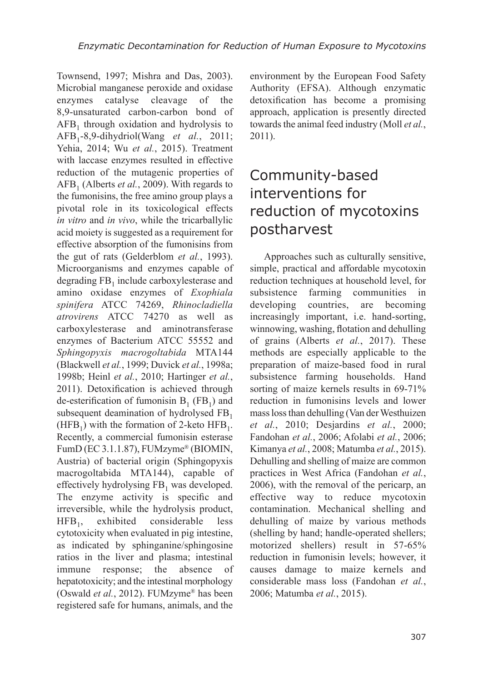Townsend, 1997; Mishra and Das, 2003). Microbial manganese peroxide and oxidase enzymes catalyse cleavage of the 8,9-unsaturated carbon-carbon bond of  $AFB<sub>1</sub>$  through oxidation and hydrolysis to AFB<sup>1</sup> -8,9-dihydriol(Wang *et al.*, 2011; Yehia, 2014; Wu *et al.*, 2015). Treatment with laccase enzymes resulted in effective reduction of the mutagenic properties of  $AFB<sub>1</sub>$  (Alberts *et al.*, 2009). With regards to the fumonisins, the free amino group plays a pivotal role in its toxicological effects *in vitro* and *in vivo*, while the tricarballylic acid moiety is suggested as a requirement for effective absorption of the fumonisins from the gut of rats (Gelderblom *et al.*, 1993). Microorganisms and enzymes capable of degrading  $FB<sub>1</sub>$  include carboxylesterase and amino oxidase enzymes of *Exophiala spinifera* ATCC 74269, *Rhinocladiella atrovirens* ATCC 74270 as well as carboxylesterase and aminotransferase enzymes of Bacterium ATCC 55552 and *Sphingopyxis macrogoltabida* MTA144 (Blackwell *et al.*, 1999; Duvick *et al.*, 1998a; 1998b; Heinl *et al.*, 2010; Hartinger *et al.*, 2011). Detoxification is achieved through de-esterification of fumonisin  $B_1$  (FB<sub>1</sub>) and subsequent deamination of hydrolysed  $FB<sub>1</sub>$ (HFB<sub>1</sub>) with the formation of 2-keto HFB<sub>1</sub>. Recently, a commercial fumonisin esterase FumD (EC 3.1.1.87), FUMzyme® (BIOMIN, Austria) of bacterial origin (Sphingopyxis macrogoltabida MTA144), capable of effectively hydrolysing  $FB<sub>1</sub>$  was developed. The enzyme activity is specific and irreversible, while the hydrolysis product,  $HFB<sub>1</sub>$ , exhibited considerable less cytotoxicity when evaluated in pig intestine, as indicated by sphinganine/sphingosine ratios in the liver and plasma; intestinal immune response; the absence of hepatotoxicity; and the intestinal morphology (Oswald *et al.*, 2012). FUMzyme® has been registered safe for humans, animals, and the

environment by the European Food Safety Authority (EFSA). Although enzymatic detoxification has become a promising approach, application is presently directed towards the animal feed industry (Moll *et al.*, 2011).

# Community-based interventions for reduction of mycotoxins postharvest

Approaches such as culturally sensitive, simple, practical and affordable mycotoxin reduction techniques at household level, for subsistence farming communities in developing countries, are becoming increasingly important, i.e. hand-sorting, winnowing, washing, flotation and dehulling of grains (Alberts *et al.*, 2017). These methods are especially applicable to the preparation of maize-based food in rural subsistence farming households. Hand sorting of maize kernels results in 69-71% reduction in fumonisins levels and lower mass loss than dehulling (Van der Westhuizen *et al.*, 2010; Desjardins *et al.*, 2000; Fandohan *et al.*, 2006; Afolabi *et al.*, 2006; Kimanya *et al.*, 2008; Matumba *et al.*, 2015). Dehulling and shelling of maize are common practices in West Africa (Fandohan *et al.*, 2006), with the removal of the pericarp, an effective way to reduce mycotoxin contamination. Mechanical shelling and dehulling of maize by various methods (shelling by hand; handle-operated shellers; motorized shellers) result in 57-65% reduction in fumonisin levels; however, it causes damage to maize kernels and considerable mass loss (Fandohan *et al.*, 2006; Matumba *et al.*, 2015).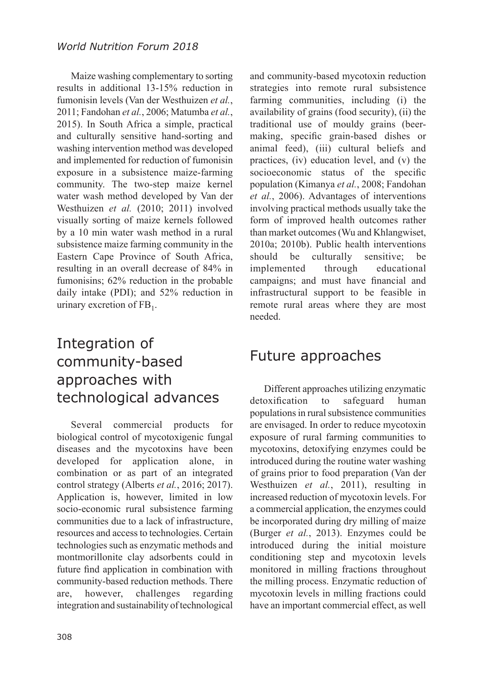Maize washing complementary to sorting results in additional 13-15% reduction in fumonisin levels (Van der Westhuizen *et al.*, 2011; Fandohan *et al.*, 2006; Matumba *et al.*, 2015). In South Africa a simple, practical and culturally sensitive hand-sorting and washing intervention method was developed and implemented for reduction of fumonisin exposure in a subsistence maize-farming community. The two-step maize kernel water wash method developed by Van der Westhuizen *et al.* (2010; 2011) involved visually sorting of maize kernels followed by a 10 min water wash method in a rural subsistence maize farming community in the Eastern Cape Province of South Africa, resulting in an overall decrease of 84% in fumonisins; 62% reduction in the probable daily intake (PDI); and 52% reduction in urinary excretion of  $FB<sub>1</sub>$ .

### Integration of community-based approaches with technological advances

Several commercial products for biological control of mycotoxigenic fungal diseases and the mycotoxins have been developed for application alone, in combination or as part of an integrated control strategy (Alberts *et al.*, 2016; 2017). Application is, however, limited in low socio-economic rural subsistence farming communities due to a lack of infrastructure, resources and access to technologies. Certain technologies such as enzymatic methods and montmorillonite clay adsorbents could in future find application in combination with community-based reduction methods. There are, however, challenges regarding integration and sustainability of technological

308

and community-based mycotoxin reduction strategies into remote rural subsistence farming communities, including (i) the availability of grains (food security), (ii) the traditional use of mouldy grains (beermaking, specific grain-based dishes or animal feed), (iii) cultural beliefs and practices, (iv) education level, and (v) the socioeconomic status of the specific population (Kimanya *et al.*, 2008; Fandohan *et al.*, 2006). Advantages of interventions involving practical methods usually take the form of improved health outcomes rather than market outcomes (Wu and Khlangwiset, 2010a; 2010b). Public health interventions should be culturally sensitive; be implemented through educational campaigns; and must have financial and infrastructural support to be feasible in remote rural areas where they are most needed.

#### Future approaches

Different approaches utilizing enzymatic detoxification to safeguard human populations in rural subsistence communities are envisaged. In order to reduce mycotoxin exposure of rural farming communities to mycotoxins, detoxifying enzymes could be introduced during the routine water washing of grains prior to food preparation (Van der Westhuizen *et al.*, 2011), resulting in increased reduction of mycotoxin levels. For a commercial application, the enzymes could be incorporated during dry milling of maize (Burger *et al.*, 2013). Enzymes could be introduced during the initial moisture conditioning step and mycotoxin levels monitored in milling fractions throughout the milling process. Enzymatic reduction of mycotoxin levels in milling fractions could have an important commercial effect, as well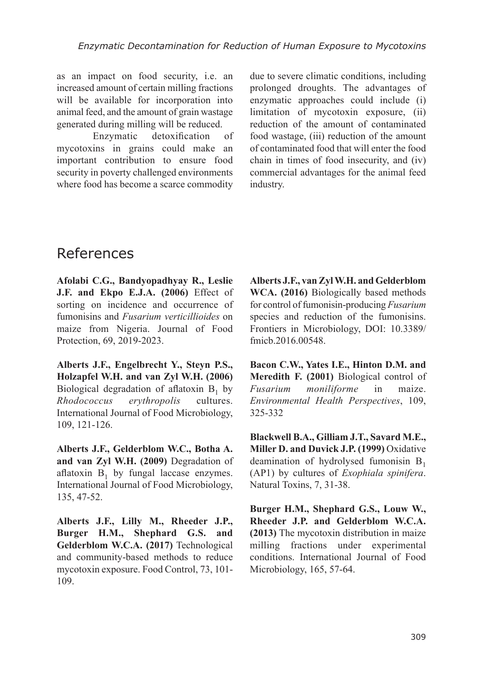as an impact on food security, i.e. an increased amount of certain milling fractions will be available for incorporation into animal feed, and the amount of grain wastage generated during milling will be reduced.

Enzymatic detoxification of mycotoxins in grains could make an important contribution to ensure food security in poverty challenged environments where food has become a scarce commodity

due to severe climatic conditions, including prolonged droughts. The advantages of enzymatic approaches could include (i) limitation of mycotoxin exposure, (ii) reduction of the amount of contaminated food wastage, (iii) reduction of the amount of contaminated food that will enter the food chain in times of food insecurity, and (iv) commercial advantages for the animal feed industry.

#### References

**Afolabi C.G., Bandyopadhyay R., Leslie J.F. and Ekpo E.J.A. (2006)** Effect of sorting on incidence and occurrence of fumonisins and *Fusarium verticillioides* on maize from Nigeria. Journal of Food Protection, 69, 2019-2023.

**Alberts J.F., Engelbrecht Y., Steyn P.S., Holzapfel W.H. and van Zyl W.H. (2006)** Biological degradation of aflatoxin  $B_1$  by *Rhodococcus erythropolis* cultures. International Journal of Food Microbiology, 109, 121-126.

**Alberts J.F., Gelderblom W.C., Botha A. and van Zyl W.H. (2009)** Degradation of aflatoxin  $B_1$  by fungal laccase enzymes. International Journal of Food Microbiology, 135, 47-52.

**Alberts J.F., Lilly M., Rheeder J.P., Burger H.M., Shephard G.S. and Gelderblom W.C.A. (2017)** Technological and community-based methods to reduce mycotoxin exposure. Food Control, 73, 101- 109.

**Alberts J.F., van Zyl W.H. and Gelderblom WCA. (2016)** Biologically based methods for control of fumonisin-producing *Fusarium* species and reduction of the fumonisins. Frontiers in Microbiology, DOI: 10.3389/ fmicb.2016.00548.

**Bacon C.W., Yates I.E., Hinton D.M. and Meredith F. (2001)** Biological control of *Fusarium moniliforme* in maize. *Environmental Health Perspectives*, 109, 325-332

**Blackwell B.A., Gilliam J.T., Savard M.E., Miller D. and Duvick J.P. (1999)** Oxidative deamination of hydrolysed fumonisin  $B_1$ (AP1) by cultures of *Exophiala spinifera*. Natural Toxins, 7, 31-38.

**Burger H.M., Shephard G.S., Louw W., Rheeder J.P. and Gelderblom W.C.A. (2013)** The mycotoxin distribution in maize milling fractions under experimental conditions. International Journal of Food Microbiology, 165, 57-64.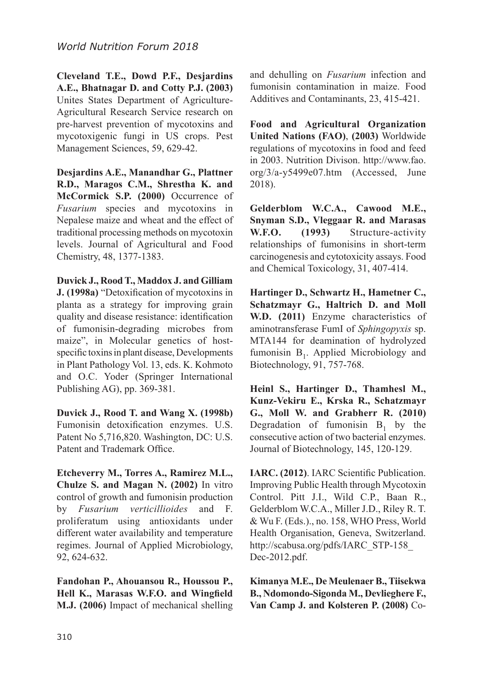**Cleveland T.E., Dowd P.F., Desjardins A.E., Bhatnagar D. and Cotty P.J. (2003)** Unites States Department of Agriculture-Agricultural Research Service research on pre-harvest prevention of mycotoxins and mycotoxigenic fungi in US crops. Pest Management Sciences, 59, 629-42.

**Desjardins A.E., Manandhar G., Plattner R.D., Maragos C.M., Shrestha K. and McCormick S.P. (2000)** Occurrence of *Fusarium* species and mycotoxins in Nepalese maize and wheat and the effect of traditional processing methods on mycotoxin levels. Journal of Agricultural and Food Chemistry, 48, 1377-1383.

**Duvick J., Rood T., Maddox J. and Gilliam J. (1998a)** "Detoxification of mycotoxins in planta as a strategy for improving grain quality and disease resistance: identification of fumonisin-degrading microbes from maize", in Molecular genetics of hostspecific toxins in plant disease, Developments in Plant Pathology Vol. 13, eds. K. Kohmoto and O.C. Yoder (Springer International Publishing AG), pp. 369-381.

**Duvick J., Rood T. and Wang X. (1998b)** Fumonisin detoxification enzymes. U.S. Patent No 5,716,820. Washington, DC: U.S. Patent and Trademark Office.

**Etcheverry M., Torres A., Ramirez M.L., Chulze S. and Magan N. (2002)** In vitro control of growth and fumonisin production by *Fusarium verticillioides* and F. proliferatum using antioxidants under different water availability and temperature regimes. Journal of Applied Microbiology, 92, 624-632.

**Fandohan P., Ahouansou R., Houssou P., Hell K., Marasas W.F.O. and Wingfield M.J. (2006)** Impact of mechanical shelling and dehulling on *Fusarium* infection and fumonisin contamination in maize. Food Additives and Contaminants, 23, 415-421.

**Food and Agricultural Organization United Nations (FAO)**, **(2003)** Worldwide regulations of mycotoxins in food and feed in 2003. Nutrition Divison. http://www.fao. org/3/a-y5499e07.htm (Accessed, June 2018).

**Gelderblom W.C.A., Cawood M.E., Snyman S.D., Vleggaar R. and Marasas W.F.O. (1993)** Structure-activity relationships of fumonisins in short-term carcinogenesis and cytotoxicity assays. Food and Chemical Toxicology, 31, 407-414.

**Hartinger D., Schwartz H., Hametner C., Schatzmayr G., Haltrich D. and Moll W.D. (2011)** Enzyme characteristics of aminotransferase FumI of *Sphingopyxis* sp. MTA144 for deamination of hydrolyzed fumonisin  $B_1$ . Applied Microbiology and Biotechnology, 91, 757-768.

**Heinl S., Hartinger D., Thamhesl M., Kunz-Vekiru E., Krska R., Schatzmayr G., Moll W. and Grabherr R. (2010)** Degradation of fumonisin  $B_1$  by the consecutive action of two bacterial enzymes. Journal of Biotechnology, 145, 120-129.

**IARC. (2012)**. IARC Scientific Publication. Improving Public Health through Mycotoxin Control. Pitt J.I., Wild C.P., Baan R., Gelderblom W.C.A., Miller J.D., Riley R. T. & Wu F. (Eds.)., no. 158, WHO Press, World Health Organisation, Geneva, Switzerland. http://scabusa.org/pdfs/IARC\_STP-158\_ Dec-2012.pdf.

**Kimanya M.E., De Meulenaer B., Tiisekwa B., Ndomondo-Sigonda M., Devlieghere F., Van Camp J. and Kolsteren P. (2008)** Co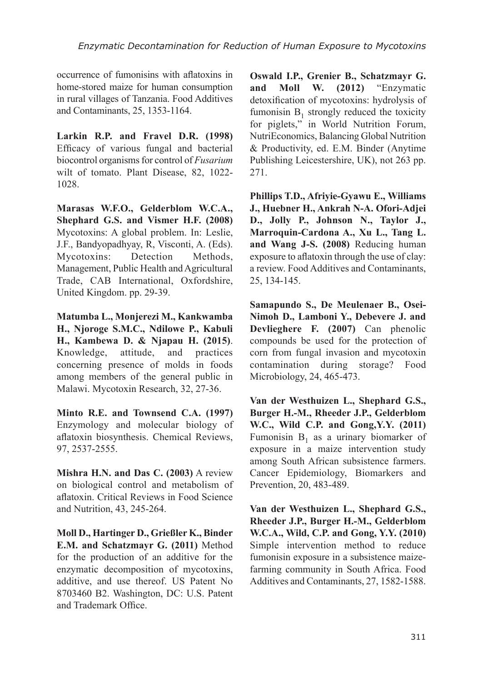occurrence of fumonisins with aflatoxins in home-stored maize for human consumption in rural villages of Tanzania. Food Additives and Contaminants, 25, 1353-1164.

**Larkin R.P. and Fravel D.R. (1998)** Efficacy of various fungal and bacterial biocontrol organisms for control of *Fusarium* wilt of tomato. Plant Disease, 82, 1022- 1028.

**Marasas W.F.O., Gelderblom W.C.A., Shephard G.S. and Vismer H.F. (2008)** Mycotoxins: A global problem. In: Leslie, J.F., Bandyopadhyay, R, Visconti, A. (Eds). Mycotoxins: Detection Methods, Management, Public Health and Agricultural Trade, CAB International, Oxfordshire, United Kingdom. pp. 29-39.

**Matumba L., Monjerezi M., Kankwamba H., Njoroge S.M.C., Ndilowe P., Kabuli H., Kambewa D. & Njapau H. (2015)**. Knowledge, attitude, and practices concerning presence of molds in foods among members of the general public in Malawi. Mycotoxin Research, 32, 27-36.

**Minto R.E. and Townsend C.A. (1997)** Enzymology and molecular biology of aflatoxin biosynthesis. Chemical Reviews, 97, 2537-2555.

**Mishra H.N. and Das C. (2003)** A review on biological control and metabolism of aflatoxin. Critical Reviews in Food Science and Nutrition, 43, 245-264.

**Moll D., Hartinger D., Grießler K., Binder E.M. and Schatzmayr G. (2011)** Method for the production of an additive for the enzymatic decomposition of mycotoxins, additive, and use thereof. US Patent No 8703460 B2. Washington, DC: U.S. Patent and Trademark Office.

**Oswald I.P., Grenier B., Schatzmayr G. and Moll W. (2012)** "Enzymatic detoxification of mycotoxins: hydrolysis of fumonisin  $B_1$  strongly reduced the toxicity for piglets," in World Nutrition Forum, NutriEconomics, Balancing Global Nutrition & Productivity, ed. E.M. Binder (Anytime Publishing Leicestershire, UK), not 263 pp. 271.

**Phillips T.D., Afriyie-Gyawu E., Williams J., Huebner H., Ankrah N-A. Ofori-Adjei D., Jolly P., Johnson N., Taylor J., Marroquin-Cardona A., Xu L., Tang L. and Wang J-S. (2008)** Reducing human exposure to aflatoxin through the use of clay: a review. Food Additives and Contaminants, 25, 134-145.

**Samapundo S., De Meulenaer B., Osei-Nimoh D., Lamboni Y., Debevere J. and Devlieghere F. (2007)** Can phenolic compounds be used for the protection of corn from fungal invasion and mycotoxin<br>contamination during storage? Food contamination during storage? Food Microbiology, 24, 465-473.

**Van der Westhuizen L., Shephard G.S., Burger H.-M., Rheeder J.P., Gelderblom W.C., Wild C.P. and Gong,Y.Y. (2011)** Fumonisin  $B_1$  as a urinary biomarker of exposure in a maize intervention study among South African subsistence farmers. Cancer Epidemiology, Biomarkers and Prevention, 20, 483-489.

**Van der Westhuizen L., Shephard G.S., Rheeder J.P., Burger H.-M., Gelderblom W.C.A., Wild, C.P. and Gong, Y.Y. (2010)** Simple intervention method to reduce fumonisin exposure in a subsistence maizefarming community in South Africa. Food Additives and Contaminants, 27, 1582-1588.